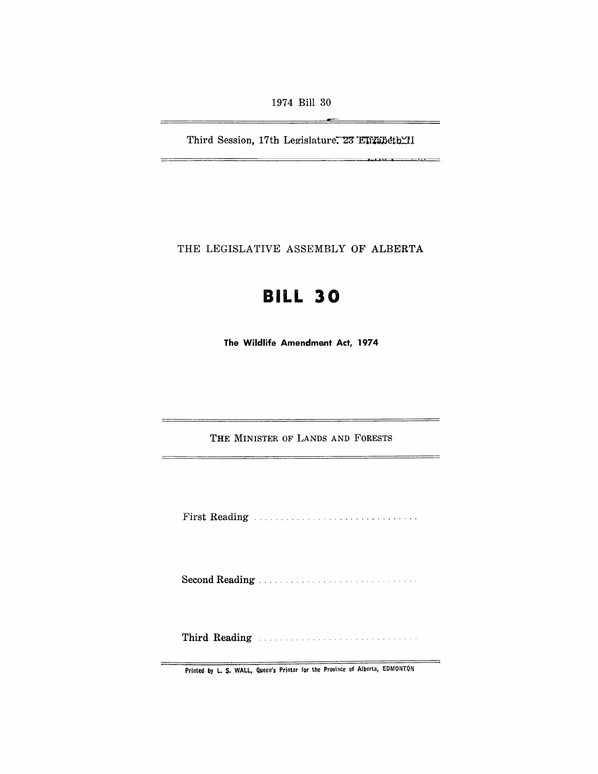1974 Bill 30

—

Third Session, 17th Legislature. 23 Elizabeth II

THE LEGISLATIVE ASSEMBLY OF ALBERTA

# **BILL 30**

**The Wildlife Amendment Act, 1974** 

THE MINISTER OF LANDS AND FORESTS

First Reading .............................. .

Second Reading .................. .

Third Reading Manual Communications of the Reading

Printed by L. S. WALL, Queen's Printer for the Province of Alberta, EDMONTON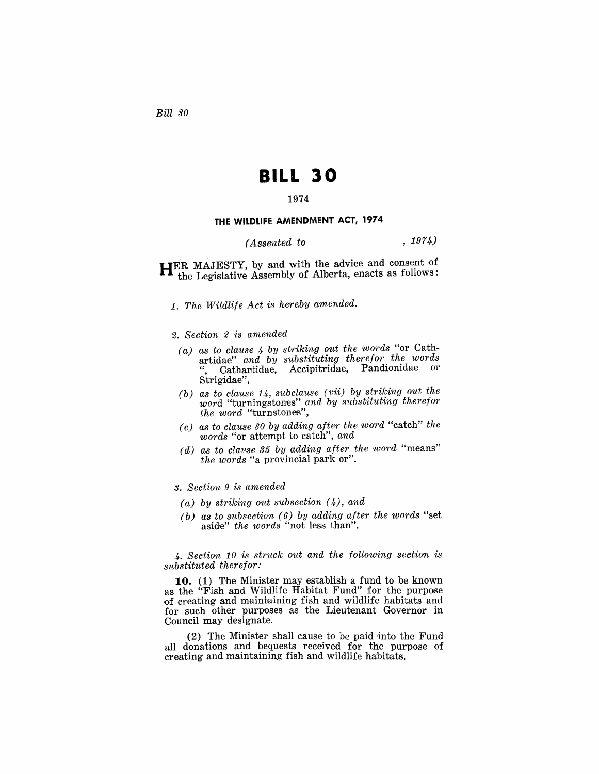*Bill 30* 

## **BILL 30**

## 1974

#### **THE WILDLIFE AMENDMENT ACT, 1974**

*(Assented to* , 1974)

**HER** MAJESTY, by and with the advice and consent of the Legislative Assembly of Alberta, enacts as follows:

- 1. The Wildlife Act is hereby amended.
- 2. *Section* 2 *is amended* 
	- *(a) as to clause* 4 *by striking out the words* "or Cathartidae" *and by substituting therefor the words*  Cathartidae, Accipitridae, Pandionidae or Strigidae".
	- *(b) as to clause* 14, *subclause (vii) by striking out the*  word "turningstones" *and by substituting therefor the word* "turnstones",
	- *(c) as to clause 30 by adding after the ward* "catch" *the words* "or attempt to catch", *and*
	- *(d) as to clause* 35 *by adding after the word* "means" *the words* "a provincial park or".

3. *Section* 9 is *amended* 

- *(a) by striking out subsection* (4), *and*
- *(b) as to subsection* (6) *by adding after the words* "set aside" *the words* "not less than".

4. Section 10 is struck out and the following section is *substituted therefor:* 

**10.** (1) The Minister may establish a fund to be known as the "Fish and Wildlife Habitat Fund" for the purpose of creating and maintaining fish and wildlife habitats and for such other purposes as the Lieutenant Governor in Council may designate.

 $(2)$  The Minister shall cause to be paid into the Fund all donations and bequests received for the purpose of creating and maintaining fish and wildlife habitats.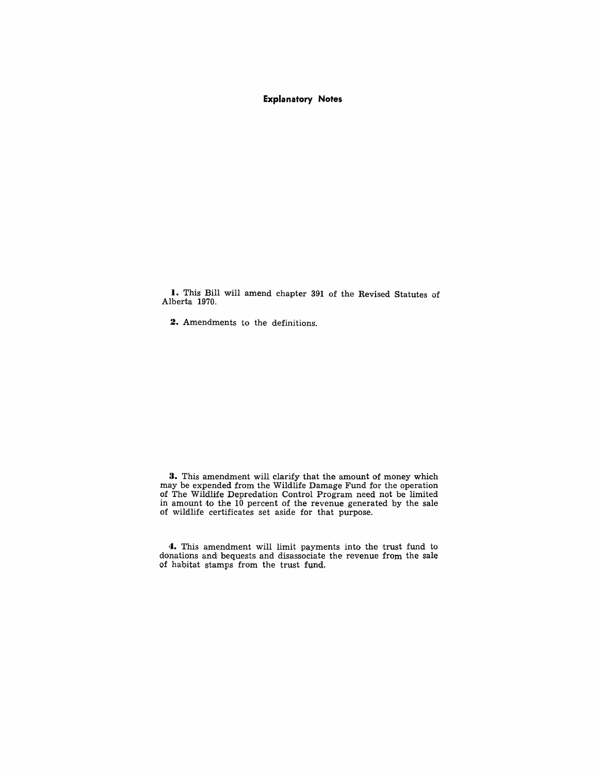#### **Explanatory Notes**

**I.** This Bill will amend chapter 391 of the Revised Statutes of Alberta 1970.

**2.** Amendments to the definitions.

**3.** This amendment will clarify that the amount of money which may be expended from the Wildlife Damage Fund for the operation of The Wildlife Depredation Control Program need not be limited in amount to the 10 percent of the revenue generated by the sale of wildlife certificates set aside for that purpose.

**4.** This amendment will limit payments into the trust fund to donations and bequests and disassociate the revenue from the sale of habitat stamps from the trust fund.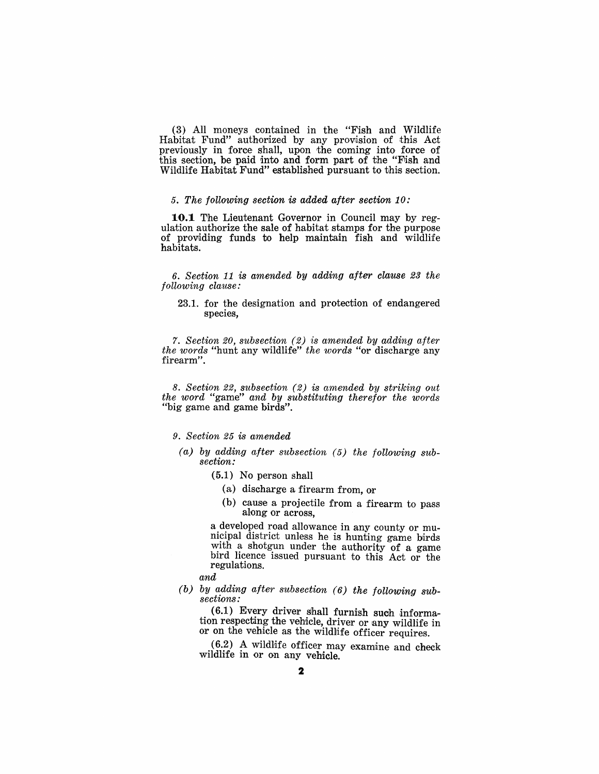(3) All moneys contained in the "Fish and Wildlife Habitat Fund" authorized by any provision of this Act previously in force shall, upon the coming into force of this section, be paid into and form part of the "Fish and Wildlife Habitat Fund" established pursuant to this section.

### *5. The following section* is *added after section 10:*

**10.1** The Lieutenant Governor in Council may by regulation authorize the sale of habitat stamps for the purpose of providing funds to help maintain fish and wildlife habitats.

*6. Section* 11 *is amended by adding after clause* 23 *the following clause:* 

23.1. for the designation and protection of endangered species,

*7. Section 20, subsection* (2) *is amended by adding after the words* "hunt any wildlife" *the words* "or discharge any firearm".

8. *Section* 22, *subsection* (2) is *amended by striking out the word* "game" *and by substituting therefor the words*  "big game and game birds".

#### *9. Section* 25 *is amended*

- *(a) by adding after subsection* (5) *the following subsection:* 
	- ( 5.1) No person shall
		- (a) discharge a firearm from, or
		- (b) cause a projectile from a firearm to pass along or across.

a developed road allowance in any county or municipal district unless he is hunting game birds with a shotgun under the authority of a game bird licence issued pursuant to this Act or the regulations.

## *and*

*(b) by adding after subsection* (6) *the following subsections:* 

 $(6.1)$  Every driver shall furnish such information respecting the vehicle, driver or any wildlife in or on the vehicle as the wildlife officer requires.

 $(6.2)$  A wildlife officer may examine and check wildlife in or on any vehicle.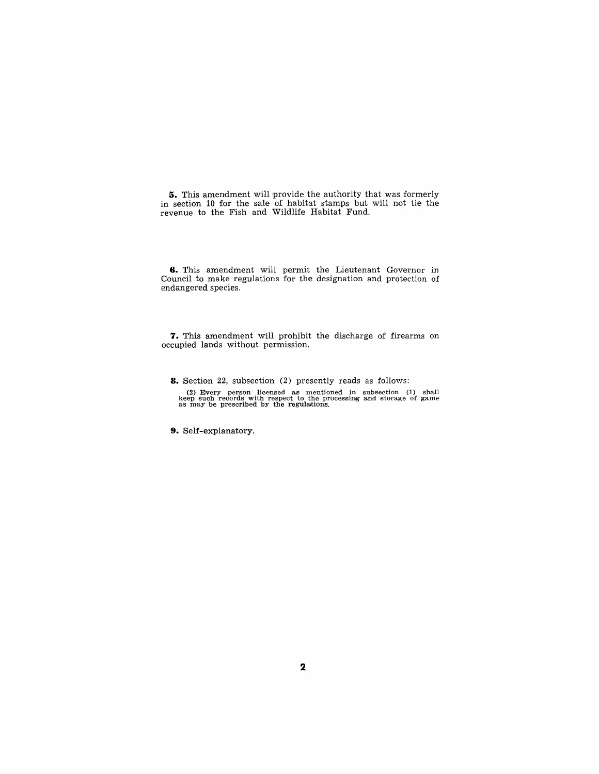**5.** This amendment will provide the authority that was formerly in section 10 for the sale of habitat stamps but will not tie the revenue to the Fish and Wildlife Habitat Fund.

**6.** This amendment will permit the Lieutenant Governor in Council to make regulations for the designation and protection of endangered species.

**7.** This amendment will prohibit the discharge of firearms on occupied lands without permission.

**8.** Section 22, subsection (2) presently reads as follows:

(2) Every person licensed as mentioned in subsection (1) shall keep such records with respect to the processing and storage of game as may be prescribed by the regulations.

**9.** Self-explanatory.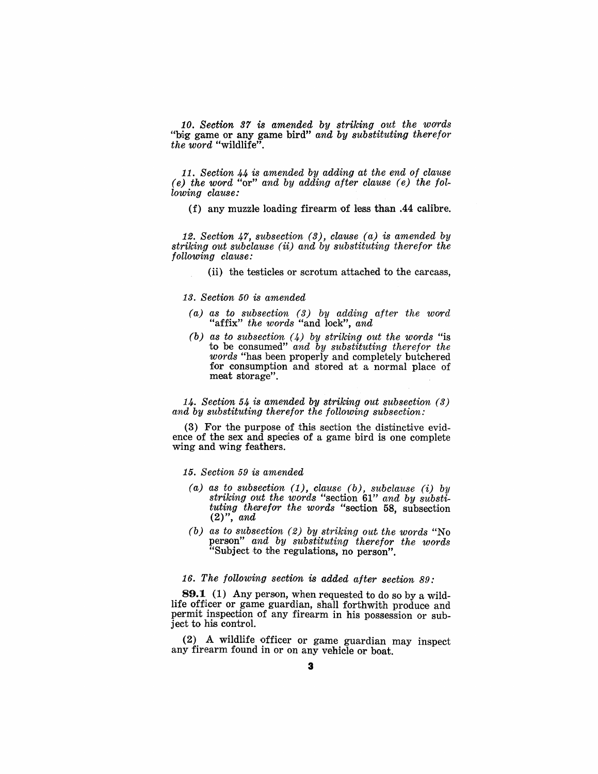*10. Section* 37 *is amended by striking out the words*  "big game or any game bird" *and by substituting therefor the word* "wildlife".

*11. Section* 44 is *amended by adding at the end of clause (e) the WOYf"d* "or" *and by adding after clause (e) the following clause:* 

(f) any muzzle loading firearm of less than .44 calibre.

*12. Section* 47, *subsection* (3), *clause (a)* is *amended by striking out subclause* (ii) *and by sUbstituting therefor the following clause:* 

(ii) the testicles or scrotum attached to the carcass,

#### *13. Section 50* is *amended*

- *(a) as t,o subsection* (3) *by adding after the worrd*  "affix" *the words* "and lock", *and*
- *(b) as to subsection* (4) *by striking out the WOYf'ds* "is to be consumed" and by substituting therefor the *words* "has been properly and completely butchered for consumption and stored at a normal place of meat storage".

*14. Section* 54 is *amended by striking out subsection (3)*  and by substituting therefor the following subsection:

 $(3)$  For the purpose of this section the distinctive evidence of the sex and speeies of a game bird is one complete wing and wing feathers.

#### 15. *Section* 59 is *amended*

- *(a) as to subsection* (1), *clause (b), subclause* (i) *by striking out the words* "section 61" *and by substituting therefor the words* "section 58, subsection (2)", *and*
- *(b) as* to *subsection* (2) *by striking out the words* "No person" *and by substituting therefor the words*  "Subject to the regulations, no person".

## *16. The following section* is *added after section* 89:

**89.1 (1)** Any person, when requested to do so by a wildlife officer or game guardian, shall forthwith produce and permit inspection of any firearm in his possession or subject to his control.

(2) A wildlife officer or game guardian may inspect any firearm found in or on any vehicle or boat.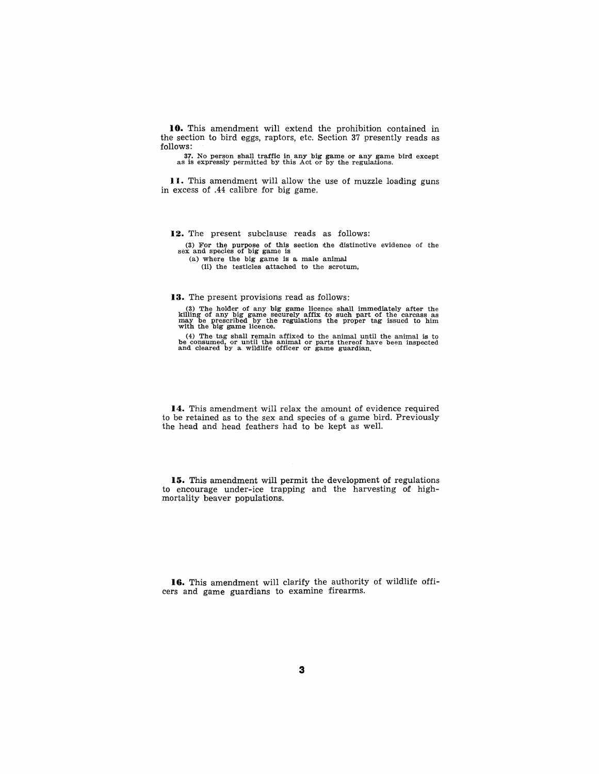10. This amendment will extend the prohibition contained in the section to bird eggs, raptors, etc. Section 37 presently reads as follows:

37. No person shall traffic in any big game or any game bird except as is expressly permitted by this Act or by the regulations.

**II.** This amendment will allow the use of muzzle loading guns in excess of .44 calibre for big game.

**12.** The present subclause reads as follows:

(3) For the purpose of this section the distinctive evidence of the sex and species of big game is

(a) where the big game is a male animal

(ii) the testicles attached to the scrotum,

**13.** The present provisions read as follows:

(3) The holder of any big game licence shall immediately after the killing of any big game securely affix to such part of the carcass as may be prescribed by the regulations the proper tag issued to him with the big game

(4) The tag shall remain affixed to the animal until the animal is to be consumed, or until the animal or parts thereof have been inspected and cleared by a wildlife officer or game guardian.

**14.** This amendment will relax the amount of evidence required to be retained as to the sex and species of a game bird. Previously the head and head feathers had to be kept as well.

**IS.** This amendment will permit the development of regulations to encourage under-ice trapping and the harvesting of highmortality beaver populations.

**16.** This amendment will clarify the authority of wildlife officers and game guardians to examine firearms.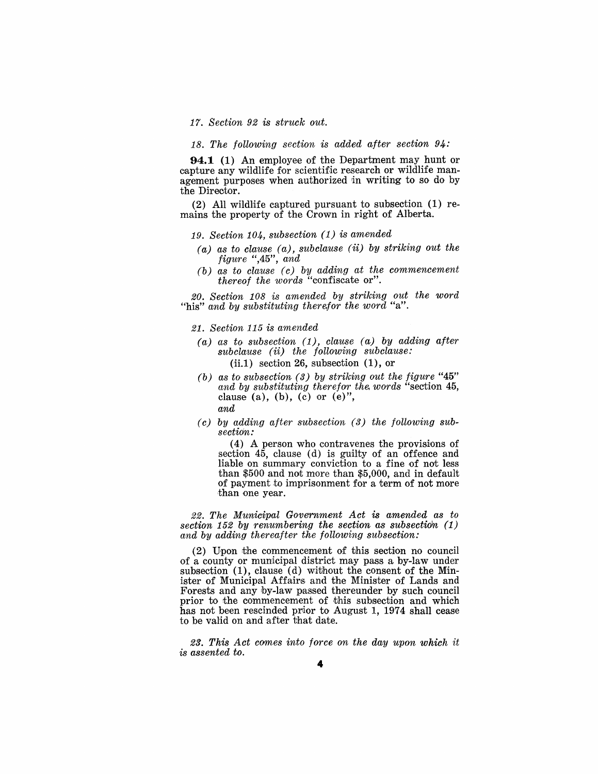*17. Section* 92 *is struck out.* 

*18. The following section is added after section 94:* 

**94.1** (1) An employee of the Department may hunt or capture any wildlife for scientific research or wildlife management purposes when authorized in writing to so do by the Director.

 $(2)$  All wildlife captured pursuant to subsection  $(1)$  remains the property of the Crown in right of Alberta.

## *19. Section 104, subsection* (1) *is amended*

- *(a) as to clause (a), subclause* (ii) *by striking out the figure* ",45", *and*
- *(b) as to clause (c) by adding at the commencement thereof the words* "confiscate or".

*20. Section 108 is amended by striking out the word*  "his" and by substituting therefor the word "a".

*21. Section* 115 *is amended* 

- *(a) as to subsection* (1), *clause (a) by adding after subclause* (ii) *the following subclause:*   $(ii.1)$  section 26, subsection  $(1)$ , or
- *(b) as to subsection* (3) *by striking out the figure "45"*  and by substituting therefor the words "section 45. clause (a), (b), (c) or  $(e)$ ", *and*
- ( c) *by adding after subsection* (3) *the following subsectidrn:*

(4) A person who contravenes the provisions of section 45, clause (d) is guilty of an offence and liable on summary conviction to a fine of not less than  $$500$  and not more than  $$5,000$ , and in default of payment to imprisonment for a term of not more than one year.

*22. The Municipal Government Act is amended as to section* 152 *by renumbering the section as subsection (1) and by adding thereafter the following subsection:* 

 $(2)$  Upon the commencement of this section no council 'Of a county or municipal district may pass a by-law under subsection  $(1)$ , clause  $(d)$  without the consent of the Minister of Municipal Affairs and the Minister of Lands and Forests and any by-law passed thereunder by such council prior to the commencement of this subsection and which has not been rescinded prior to August 1, 1974 shall cease to be valid on and after that date.

23. This Act comes into force on the day upon which it *is assented to.*